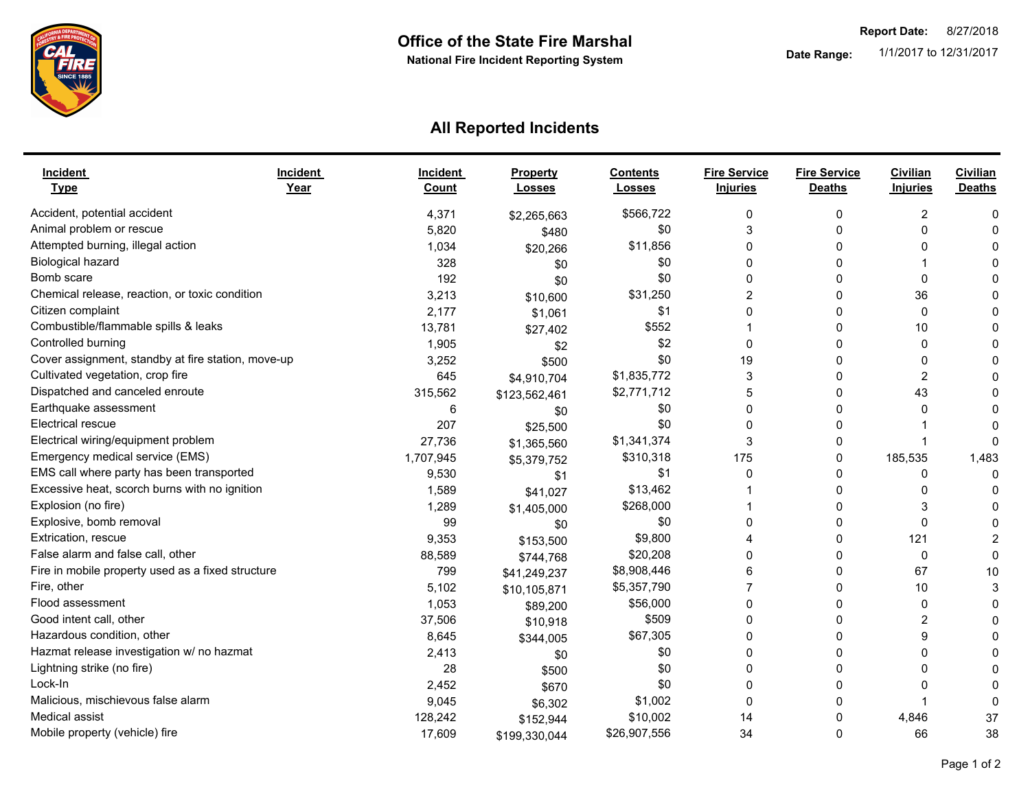

## **All Reported Incidents**

| <b>Incident</b><br><b>Type</b>                     | <b>Incident</b><br>Year | <b>Incident</b><br>Count | <b>Property</b><br><b>Losses</b> | <b>Contents</b><br><b>Losses</b> | <b>Fire Service</b><br><b>Injuries</b> | <b>Fire Service</b><br><b>Deaths</b> | Civilian<br><b>Injuries</b> | <b>Civilian</b><br><b>Deaths</b> |
|----------------------------------------------------|-------------------------|--------------------------|----------------------------------|----------------------------------|----------------------------------------|--------------------------------------|-----------------------------|----------------------------------|
| Accident, potential accident                       |                         | 4,371                    | \$2,265,663                      | \$566,722                        | 0                                      | 0                                    | 2                           | C                                |
| Animal problem or rescue                           |                         | 5,820                    | \$480                            | \$0                              | 3                                      | O                                    | 0                           |                                  |
| Attempted burning, illegal action                  |                         | 1,034                    | \$20,266                         | \$11,856                         | 0                                      | 0                                    | 0                           |                                  |
| <b>Biological hazard</b>                           |                         | 328                      | \$0                              | \$0                              | 0                                      | 0                                    |                             |                                  |
| Bomb scare                                         |                         | 192                      | \$0                              | \$0                              | $\Omega$                               | 0                                    | $\Omega$                    |                                  |
| Chemical release, reaction, or toxic condition     |                         | 3,213                    | \$10,600                         | \$31,250                         | 2                                      | 0                                    | 36                          |                                  |
| Citizen complaint                                  |                         | 2,177                    | \$1,061                          | \$1                              | $\Omega$                               | 0                                    | $\Omega$                    |                                  |
| Combustible/flammable spills & leaks               |                         | 13,781                   | \$27,402                         | \$552                            |                                        | $\Omega$                             | 10                          |                                  |
| Controlled burning                                 |                         | 1,905                    | \$2                              | \$2                              | $\Omega$                               | $\Omega$                             | $\Omega$                    |                                  |
| Cover assignment, standby at fire station, move-up |                         | 3,252                    | \$500                            | \$0                              | 19                                     | 0                                    | 0                           |                                  |
| Cultivated vegetation, crop fire                   |                         | 645                      | \$4,910,704                      | \$1,835,772                      | 3                                      | O                                    | 2                           |                                  |
| Dispatched and canceled enroute                    |                         | 315,562                  | \$123,562,461                    | \$2,771,712                      | 5                                      | 0                                    | 43                          |                                  |
| Earthquake assessment                              |                         | 6                        | \$0                              | \$0                              | $\Omega$                               | O                                    | 0                           |                                  |
| Electrical rescue                                  |                         | 207                      | \$25,500                         | \$0                              |                                        | 0                                    |                             |                                  |
| Electrical wiring/equipment problem                |                         | 27,736                   | \$1,365,560                      | \$1,341,374                      | 3                                      | 0                                    |                             | C                                |
| Emergency medical service (EMS)                    |                         | 1,707,945                | \$5,379,752                      | \$310,318                        | 175                                    | 0                                    | 185,535                     | 1,483                            |
| EMS call where party has been transported          |                         | 9,530                    | \$1                              | \$1                              | $\Omega$                               | 0                                    | 0                           | $\Omega$                         |
| Excessive heat, scorch burns with no ignition      |                         | 1,589                    | \$41,027                         | \$13,462                         |                                        | 0                                    | 0                           |                                  |
| Explosion (no fire)                                |                         | 1,289                    | \$1,405,000                      | \$268,000                        |                                        | U                                    | 3                           |                                  |
| Explosive, bomb removal                            |                         | 99                       | \$0                              | \$0                              | $\Omega$                               | 0                                    | $\Omega$                    |                                  |
| Extrication, rescue                                |                         | 9,353                    | \$153,500                        | \$9,800                          |                                        | 0                                    | 121                         |                                  |
| False alarm and false call, other                  |                         | 88,589                   | \$744,768                        | \$20,208                         | $\Omega$                               | 0                                    | 0                           | $\Omega$                         |
| Fire in mobile property used as a fixed structure  |                         | 799                      | \$41,249,237                     | \$8,908,446                      | 6                                      | 0                                    | 67                          | 10                               |
| Fire, other                                        |                         | 5,102                    | \$10,105,871                     | \$5,357,790                      |                                        | 0                                    | 10                          | З                                |
| Flood assessment                                   |                         | 1,053                    | \$89,200                         | \$56,000                         | 0                                      | 0                                    | 0                           |                                  |
| Good intent call, other                            |                         | 37,506                   | \$10,918                         | \$509                            | $\mathbf{0}$                           | 0                                    | 2                           |                                  |
| Hazardous condition, other                         |                         | 8,645                    | \$344,005                        | \$67,305                         | 0                                      | 0                                    | 9                           |                                  |
| Hazmat release investigation w/ no hazmat          |                         | 2,413                    | \$0                              | \$0                              |                                        | 0                                    | 0                           |                                  |
| Lightning strike (no fire)                         |                         | 28                       | \$500                            | \$0                              | $\Omega$                               | 0                                    | 0                           |                                  |
| Lock-In                                            |                         | 2,452                    | \$670                            | \$0                              | n                                      | 0                                    | 0                           |                                  |
| Malicious, mischievous false alarm                 |                         | 9,045                    | \$6,302                          | \$1,002                          | $\Omega$                               | 0                                    |                             | C                                |
| Medical assist                                     |                         | 128,242                  | \$152,944                        | \$10,002                         | 14                                     | $\Omega$                             | 4,846                       | 37                               |
| Mobile property (vehicle) fire                     |                         | 17,609                   | \$199,330,044                    | \$26,907,556                     | 34                                     | $\Omega$                             | 66                          | 38                               |